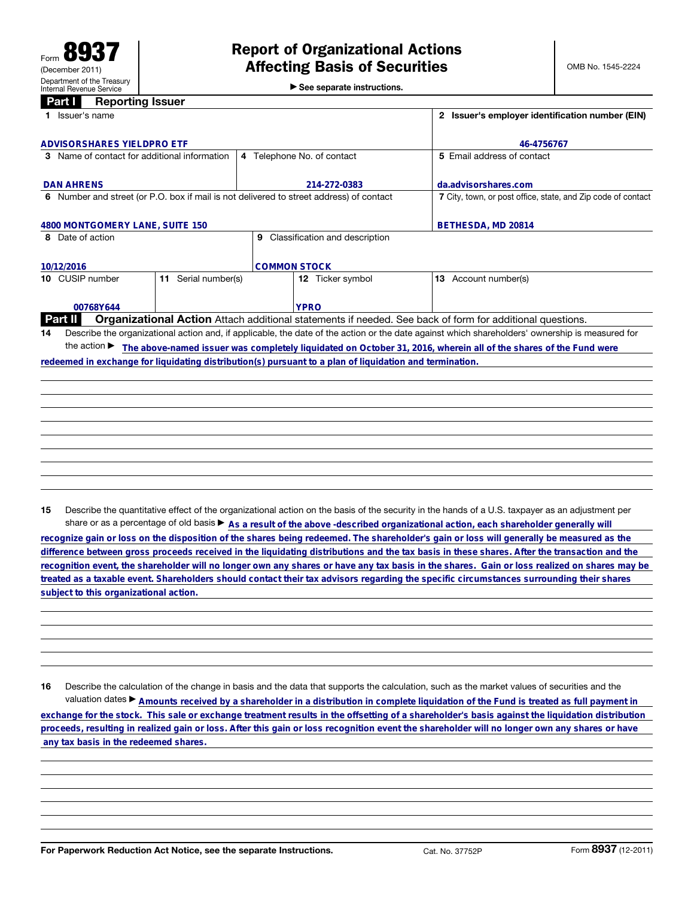## **Panarting Inquiry**

|  | 1000                                        |  |  |
|--|---------------------------------------------|--|--|
|  | $\triangleright$ See separate instructions. |  |  |

| 1 Issuer's name                                                                                         |                                     | 2 Issuer's employer identification number (EIN)                                                                                                 |  |
|---------------------------------------------------------------------------------------------------------|-------------------------------------|-------------------------------------------------------------------------------------------------------------------------------------------------|--|
| <b>ADVISORSHARES YIELDPRO ETF</b>                                                                       | 46-4756767                          |                                                                                                                                                 |  |
| 3 Name of contact for additional information                                                            | 4 Telephone No. of contact          | 5 Email address of contact                                                                                                                      |  |
| <b>DAN AHRENS</b>                                                                                       | 214-272-0383                        | da.advisorshares.com                                                                                                                            |  |
| 6 Number and street (or P.O. box if mail is not delivered to street address) of contact                 |                                     | 7 City, town, or post office, state, and Zip code of contact                                                                                    |  |
| 4800 MONTGOMERY LANE, SUITE 150                                                                         |                                     | BETHESDA, MD 20814                                                                                                                              |  |
| 8 Date of action                                                                                        | Classification and description<br>9 |                                                                                                                                                 |  |
| 10/12/2016                                                                                              | <b>COMMON STOCK</b>                 |                                                                                                                                                 |  |
| Serial number(s)<br>10 CUSIP number<br>11                                                               | 12 Ticker symbol                    | Account number(s)<br>13                                                                                                                         |  |
| 00768Y644                                                                                               | <b>YPRO</b>                         |                                                                                                                                                 |  |
| <b>Part II</b>                                                                                          |                                     | <b>Organizational Action</b> Attach additional statements if needed. See back of form for additional questions.                                 |  |
| 14                                                                                                      |                                     | Describe the organizational action and, if applicable, the date of the action or the date against which shareholders' ownership is measured for |  |
| the action $\blacktriangleright$                                                                        |                                     | The above-named issuer was completely liquidated on October 31, 2016, wherein all of the shares of the Fund were                                |  |
| redeemed in exchange for liquidating distribution(s) pursuant to a plan of liquidation and termination. |                                     |                                                                                                                                                 |  |
|                                                                                                         |                                     |                                                                                                                                                 |  |
|                                                                                                         |                                     |                                                                                                                                                 |  |
|                                                                                                         |                                     |                                                                                                                                                 |  |

15 Describe the quantitative effect of the organizational action on the basis of the security in the hands of a U.S. taxpayer as an adjustment per

share or as a percentage of old basis ► As a result of the above -described organizational action, each shareholder generally will<br>The share holder's gain or loss will generally be measured as the recognize gain or loss w **difference between gross proceeds received in the liquidating distributions and the tax basis in these shares. After the transaction and the recognition event, the shareholder will no longer own any shares or have any tax basis in the shares. Gain or loss realized on shares may be treated as a taxable event. Shareholders should contact their tax advisors regarding the specific circumstances surrounding their shares subject to this organizational action.**

16 Describe the calculation of the change in basis and the data that supports the calculation, such as the market values of securities and the valuation dates ▶ **Amounts received by a shareholder in a distribution in complete liquidation of the Fund is treated as full payment in exchange for the stock. This sale or exchange treatment results in the offsetting of a shareholder's basis against the liquidation distribution proceeds, resulting in realized gain or loss. After this gain or loss recognition event the shareholder will no longer own any shares or have any tax basis in the redeemed shares.**